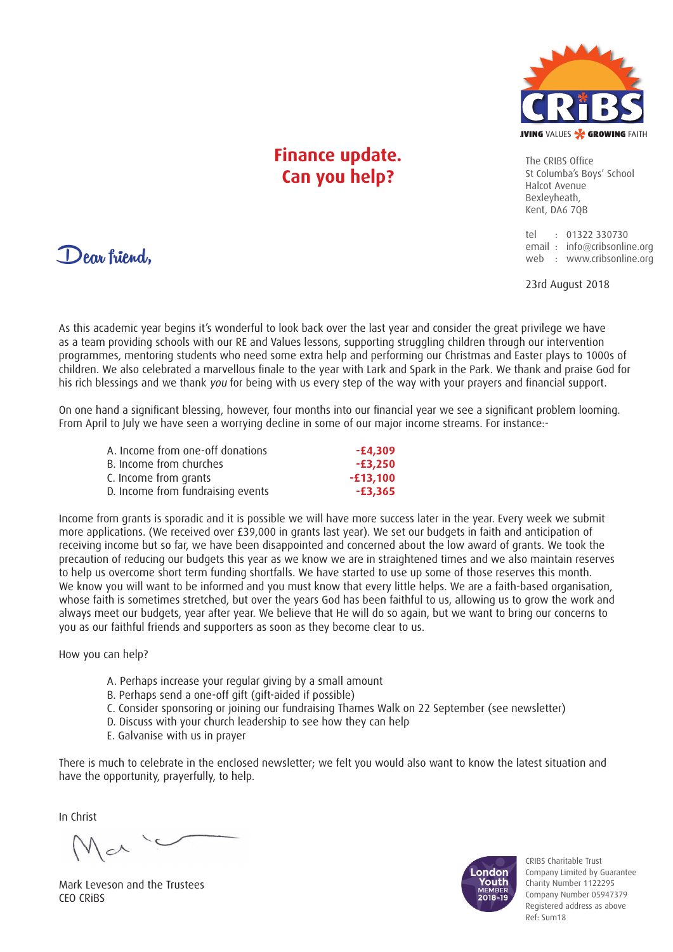

### **Finance update. Can you help?**

The CRIBS Office St Columba's Boys' School Halcot Avenue Bexleyheath, Kent, DA6 70B

tel : 01322 330730 email : info@cribsonline.org web : www.cribsonline.org

23rd August 2018

Dear friend,

As this academic year begins it's wonderful to look back over the last year and consider the great privilege we have as a team providing schools with our RE and Values lessons, supporting struggling children through our intervention programmes, mentoring students who need some extra help and performing our Christmas and Easter plays to 1000s of children. We also celebrated a marvellous finale to the year with Lark and Spark in the Park. We thank and praise God for his rich blessings and we thank you for being with us every step of the way with your prayers and financial support.

On one hand a significant blessing, however, four months into our financial year we see a significant problem looming. From April to July we have seen a worrying decline in some of our major income streams. For instance:-

| A. Income from one-off donations  | -£4,309    |
|-----------------------------------|------------|
| B. Income from churches           | -£3,250    |
| C. Income from grants             | $-£13,100$ |
| D. Income from fundraising events | -£3,365    |

Income from grants is sporadic and it is possible we will have more success later in the year. Every week we submit more applications. (We received over £39,000 in grants last year). We set our budgets in faith and anticipation of receiving income but so far, we have been disappointed and concerned about the low award of grants. We took the precaution of reducing our budgets this year as we know we are in straightened times and we also maintain reserves to help us overcome short term funding shortfalls. We have started to use up some of those reserves this month. We know you will want to be informed and you must know that every little helps. We are a faith-based organisation, whose faith is sometimes stretched, but over the years God has been faithful to us, allowing us to grow the work and always meet our budgets, year after year. We believe that He will do so again, but we want to bring our concerns to you as our faithful friends and supporters as soon as they become clear to us.

How you can help?

- A. Perhaps increase your regular giving by a small amount
- B. Perhaps send a one-off gift (gift-aided if possible)
- C. Consider sponsoring or joining our fundraising Thames Walk on 22 September (see newsletter)
- D. Discuss with your church leadership to see how they can help
- E. Galvanise with us in prayer

There is much to celebrate in the enclosed newsletter; we felt you would also want to know the latest situation and have the opportunity, prayerfully, to help.

In Christ

 $|c|$ 

Mark Leveson and the Trustees CEO CRiBS



CRIBS Charitable Trust Company Limited by Guarantee Charity Number 1122295 Company Number 05947379 Registered address as above Ref: Sum18